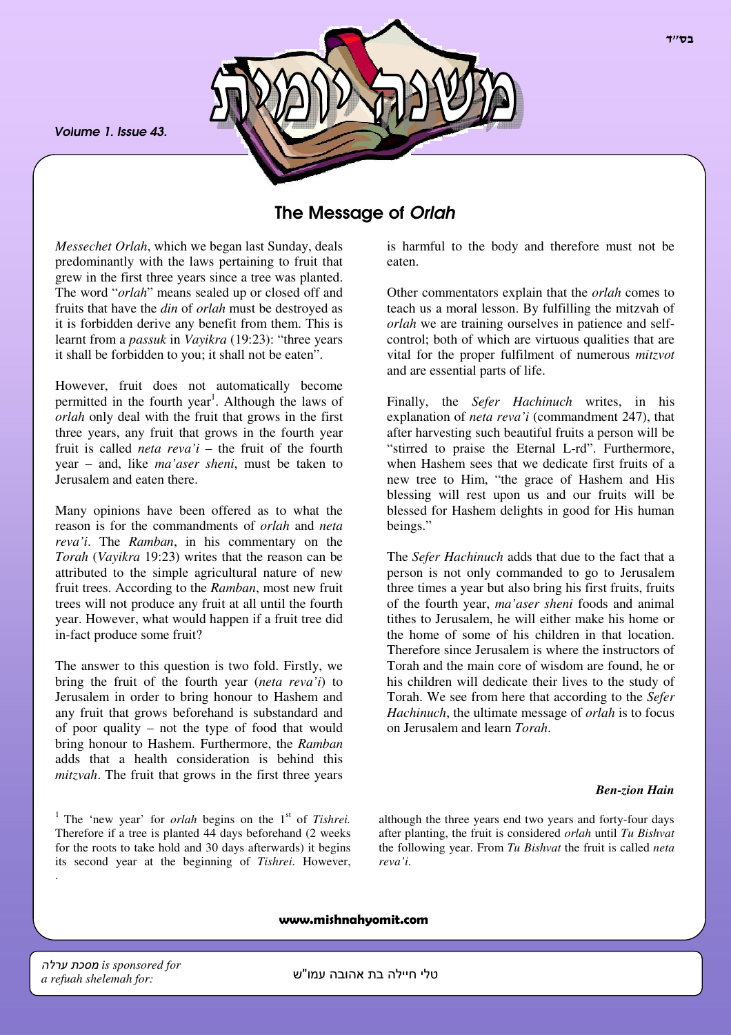*Volume 1. Issue 43.*



# The Message of *Orlah*

*Messechet Orlah*, which we began last Sunday, deals predominantly with the laws pertaining to fruit that grew in the first three years since a tree was planted. The word "*orlah*" means sealed up or closed off and fruits that have the *din* of *orlah* must be destroyed as it is forbidden derive any benefit from them. This is learnt from a *passuk* in *Vayikra* (19:23): "three years it shall be forbidden to you; it shall not be eaten".

However, fruit does not automatically become permitted in the fourth year<sup>1</sup>. Although the laws of *orlah* only deal with the fruit that grows in the first three years, any fruit that grows in the fourth year fruit is called *neta reva'i* – the fruit of the fourth year – and, like *ma'aser sheni*, must be taken to Jerusalem and eaten there.

Many opinions have been offered as to what the reason is for the commandments of *orlah* and *neta reva'i*. The *Ramban*, in his commentary on the *Torah* (*Vayikra* 19:23) writes that the reason can be attributed to the simple agricultural nature of new fruit trees. According to the *Ramban*, most new fruit trees will not produce any fruit at all until the fourth year. However, what would happen if a fruit tree did in-fact produce some fruit?

The answer to this question is two fold. Firstly, we bring the fruit of the fourth year (*neta reva'i*) to Jerusalem in order to bring honour to Hashem and any fruit that grows beforehand is substandard and of poor quality – not the type of food that would bring honour to Hashem. Furthermore, the *Ramban* adds that a health consideration is behind this *mitzvah*. The fruit that grows in the first three years

<sup>1</sup> The 'new year' for *orlah* begins on the 1<sup>st</sup> of *Tishrei*. Therefore if a tree is planted 44 days beforehand (2 weeks for the roots to take hold and 30 days afterwards) it begins its second year at the beginning of *Tishrei*. However, is harmful to the body and therefore must not be eaten.

Other commentators explain that the *orlah* comes to teach us a moral lesson. By fulfilling the mitzvah of *orlah* we are training ourselves in patience and selfcontrol; both of which are virtuous qualities that are vital for the proper fulfilment of numerous *mitzvot* and are essential parts of life.

Finally, the *Sefer Hachinuch* writes, in his explanation of *neta reva'i* (commandment 247), that after harvesting such beautiful fruits a person will be "stirred to praise the Eternal L-rd". Furthermore, when Hashem sees that we dedicate first fruits of a new tree to Him, "the grace of Hashem and His blessing will rest upon us and our fruits will be blessed for Hashem delights in good for His human beings."

The *Sefer Hachinuch* adds that due to the fact that a person is not only commanded to go to Jerusalem three times a year but also bring his first fruits, fruits of the fourth year, *ma'aser sheni* foods and animal tithes to Jerusalem, he will either make his home or the home of some of his children in that location. Therefore since Jerusalem is where the instructors of Torah and the main core of wisdom are found, he or his children will dedicate their lives to the study of Torah. We see from here that according to the *Sefer Hachinuch*, the ultimate message of *orlah* is to focus on Jerusalem and learn *Torah*.

#### *Ben-zion Hain*

although the three years end two years and forty-four days after planting, the fruit is considered *orlah* until *Tu Bishvat* the following year. From *Tu Bishvat* the fruit is called *neta reva'i*.

www.mishnahyomit.com

.

טלי חיילה בת אהובה עמו"ש